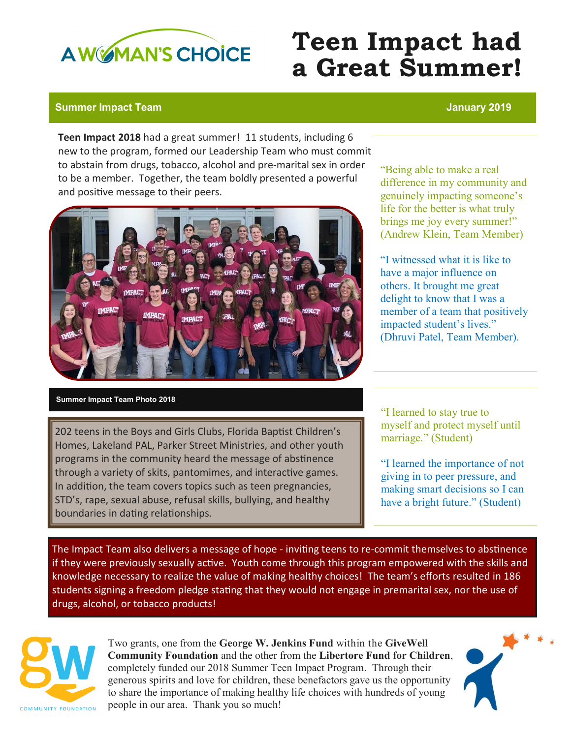

## **Teen Impact had a Great Summer!**

## **Summer Impact Team January 2019**

**Teen Impact 2018** had a great summer! 11 students, including 6 new to the program, formed our Leadership Team who must commit to abstain from drugs, tobacco, alcohol and pre-marital sex in order to be a member. Together, the team boldly presented a powerful and positive message to their peers.



"Being able to make a real difference in my community and genuinely impacting someone's life for the better is what truly brings me joy every summer!" (Andrew Klein, Team Member)

"I witnessed what it is like to have a major influence on others. It brought me great delight to know that I was a member of a team that positively impacted student's lives." (Dhruvi Patel, Team Member).

## **Summer Impact Team Photo 2018**

202 teens in the Boys and Girls Clubs, Florida Baptist Children's Homes, Lakeland PAL, Parker Street Ministries, and other youth programs in the community heard the message of abstinence through a variety of skits, pantomimes, and interactive games. In addition, the team covers topics such as teen pregnancies, STD's, rape, sexual abuse, refusal skills, bullying, and healthy boundaries in dating relationships.

"I learned to stay true to myself and protect myself until marriage." (Student)

"I learned the importance of not giving in to peer pressure, and making smart decisions so I can have a bright future." (Student)

The Impact Team also delivers a message of hope - inviting teens to re-commit themselves to abstinence if they were previously sexually active. Youth come through this program empowered with the skills and knowledge necessary to realize the value of making healthy choices! The team's efforts resulted in 186 students signing a freedom pledge stating that they would not engage in premarital sex, nor the use of drugs, alcohol, or tobacco products!



Two grants, one from the **George W. Jenkins Fund** within the **GiveWell Community Foundation** and the other from the **Libertore Fund for Children**, completely funded our 2018 Summer Teen Impact Program. Through their generous spirits and love for children, these benefactors gave us the opportunity to share the importance of making healthy life choices with hundreds of young people in our area. Thank you so much!